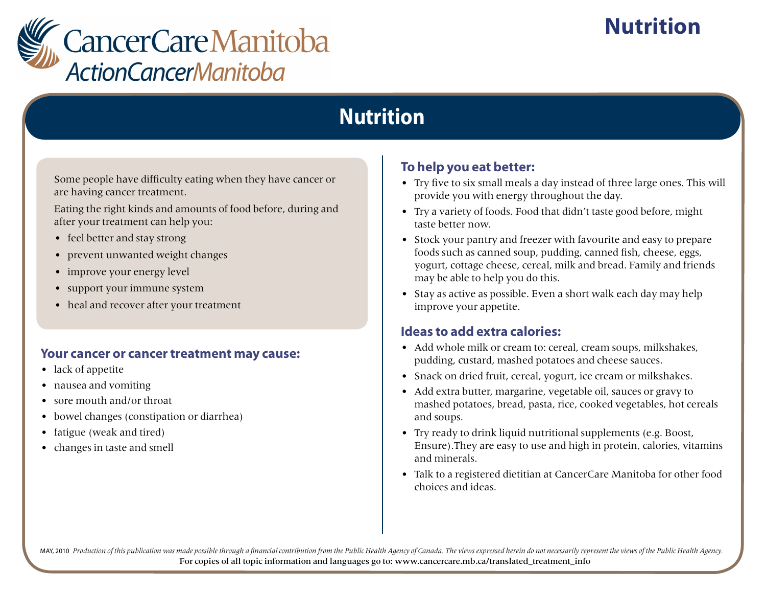

# **Nutrition**

# **Nutrition**

Some people have difficulty eating when they have cancer or are having cancer treatment.

Eating the right kinds and amounts of food before, during and after your treatment can help you:

- feel better and stay strong
- prevent unwanted weight changes
- improve your energy level
- support your immune system
- heal and recover after your treatment

#### **Your cancer or cancer treatment may cause:**

- lack of appetite
- nausea and vomiting
- sore mouth and/or throat
- bowel changes (constipation or diarrhea)
- fatigue (weak and tired)
- changes in taste and smell

### **To help you eat better:**

- Try five to six small meals a day instead of three large ones. This will provide you with energy throughout the day.
- Try a variety of foods. Food that didn't taste good before, might taste better now.
- Stock your pantry and freezer with favourite and easy to prepare foods such as canned soup, pudding, canned fish, cheese, eggs, yogurt, cottage cheese, cereal, milk and bread. Family and friends may be able to help you do this.
- Stay as active as possible. Even a short walk each day may help improve your appetite.

### **Ideas to add extra calories:**

- Add whole milk or cream to: cereal, cream soups, milkshakes, pudding, custard, mashed potatoes and cheese sauces.
- Snack on dried fruit, cereal, yogurt, ice cream or milkshakes.
- Add extra butter, margarine, vegetable oil, sauces or gravy to mashed potatoes, bread, pasta, rice, cooked vegetables, hot cereals and soups.
- Try ready to drink liquid nutritional supplements (e.g. Boost, Ensure).They are easy to use and high in protein, calories, vitamins and minerals.
- Talk to a registered dietitian at CancerCare Manitoba for other food choices and ideas.

MAY, 2010 Production of this publication was made possible through a financial contribution from the Public Health Agency of Canada. The views expressed herein do not necessarily represent the views of the Public Health Ag For copies of all topic information and languages go to: www.cancercare.mb.ca/translated\_treatment\_info